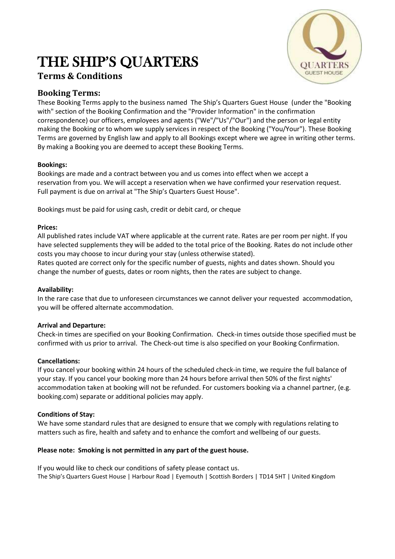# THE SHIP'S QUARTERS

## **Terms & Conditions**



### **Booking Terms:**

These Booking Terms apply to the business named The Ship's Quarters Guest House (under the "Booking with" section of the Booking Confirmation and the "Provider Information" in the confirmation correspondence) our officers, employees and agents ("We"/"Us"/"Our") and the person or legal entity making the Booking or to whom we supply services in respect of the Booking ("You/Your"). These Booking Terms are governed by English law and apply to all Bookings except where we agree in writing other terms. By making a Booking you are deemed to accept these Booking Terms.

#### **Bookings:**

Bookings are made and a contract between you and us comes into effect when we accept a reservation from you. We will accept a reservation when we have confirmed your reservation request. Full payment is due on arrival at "The Ship's Quarters Guest House".

Bookings must be paid for using cash, credit or debit card, or cheque

#### **Prices:**

All published rates include VAT where applicable at the current rate. Rates are per room per night. If you have selected supplements they will be added to the total price of the Booking. Rates do not include other costs you may choose to incur during your stay (unless otherwise stated).

Rates quoted are correct only for the specific number of guests, nights and dates shown. Should you change the number of guests, dates or room nights, then the rates are subject to change.

#### **Availability:**

In the rare case that due to unforeseen circumstances we cannot deliver your requested accommodation, you will be offered alternate accommodation.

#### **Arrival and Departure:**

Check-in times are specified on your Booking Confirmation. Check-in times outside those specified must be confirmed with us prior to arrival. The Check-out time is also specified on your Booking Confirmation.

#### **Cancellations:**

If you cancel your booking within 24 hours of the scheduled check-in time, we require the full balance of your stay. If you cancel your booking more than 24 hours before arrival then 50% of the first nights' accommodation taken at booking will not be refunded. For customers booking via a channel partner, (e.g. booking.com) separate or additional policies may apply.

#### **Conditions of Stay:**

We have some standard rules that are designed to ensure that we comply with regulations relating to matters such as fire, health and safety and to enhance the comfort and wellbeing of our guests.

#### **Please note: Smoking is not permitted in any part of the guest house.**

If you would like to check our conditions of safety please contact us. The Ship's Quarters Guest House | Harbour Road | Eyemouth | Scottish Borders | TD14 5HT | United Kingdom